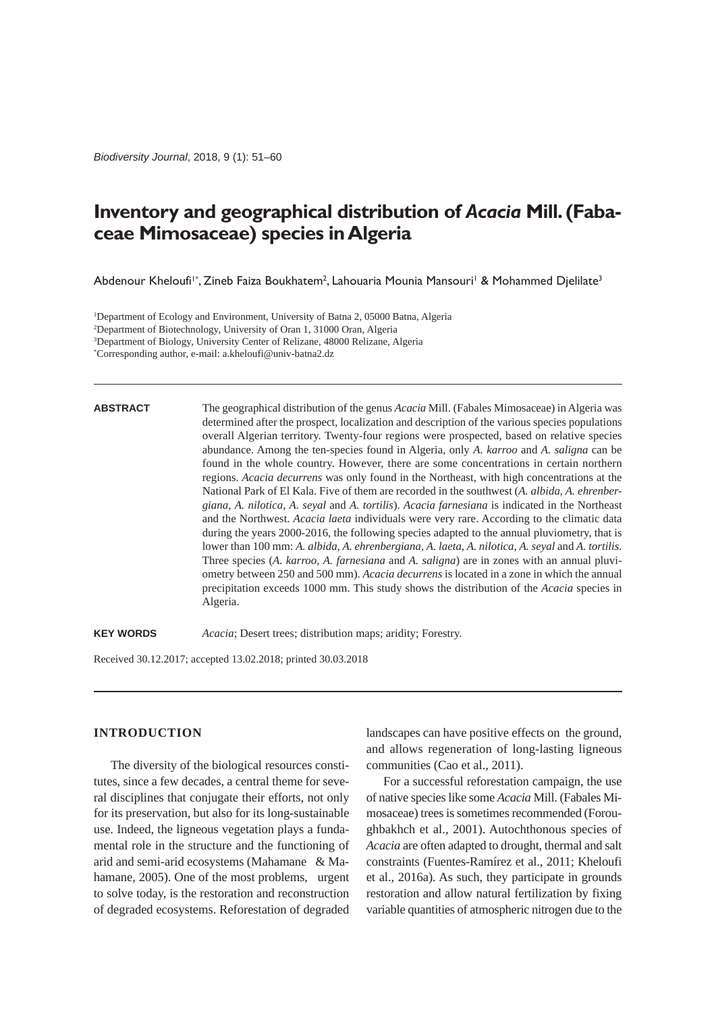*Biodiversity Journal*, 2018, 9 (1): 51–60

# **Inventory and geographical distribution of** *Acacia* **Mill. (Fabaceae Mimosaceae) species in Algeria**

Abdenour Kheloufi'\*, Zineb Faiza Boukhatem<sup>2</sup>, Lahouaria Mounia Mansouri' & Mohammed Djelilate<sup>3</sup>

1 Department of Ecology and Environment, University of Batna 2, 05000 Batna, Algeria

2 Department of Biotechnology, University of Oran 1, 31000 Oran, Algeria

3 Department of Biology, University Center of Relizane, 48000 Relizane, Algeria

\* Corresponding author, e-mail: a.kheloufi@univ-batna2.dz

## **ABSTRACT**

The geographical distribution of the genus *Acacia* Mill. (Fabales Mimosaceae) in Algeria was determined after the prospect, localization and description of the various species populations overall Algerian territory. Twenty-four regions were prospected, based on relative species abundance. Among the ten-species found in Algeria, only *A. karroo* and *A. saligna* can be found in the whole country. However, there are some concentrations in certain northern regions. *Acacia decurrens* was only found in the Northeast, with high concentrations at the National Park of El Kala. Five of them are recorded in the southwest (*A. albida*, *A. ehrenbergiana*, *A. nilotica*, *A. seyal* and *A. tortilis*). *Acacia farnesiana* is indicated in the Northeast and the Northwest. *Acacia laeta* individuals were very rare. According to the climatic data during the years 2000-2016, the following species adapted to the annual pluviometry, that is lower than 100 mm: *A. albida*, *A. ehrenbergiana*, *A. laeta*, *A. nilotica*, *A. seyal* and *A. tortilis*. Three species (*A. karroo*, *A. farnesiana* and *A. saligna*) are in zones with an annual pluviometry between 250 and 500 mm). *Acacia decurrens* is located in a zone in which the annual precipitation exceeds 1000 mm. This study shows the distribution of the *Acacia* species in Algeria.

**KEY WORDS** *Acacia*; Desert trees; distribution maps; aridity; Forestry.

Received 30.12.2017; accepted 13.02.2018; printed 30.03.2018

# **INTRODUCTION**

The diversity of the biological resources constitutes, since a few decades, a central theme for several disciplines that conjugate their efforts, not only for its preservation, but also for its long-sustainable use. Indeed, the ligneous vegetation plays a fundamental role in the structure and the functioning of arid and semi-arid ecosystems (Mahamane & Mahamane, 2005). One of the most problems, urgent to solve today, is the restoration and reconstruction of degraded ecosystems. Reforestation of degraded landscapes can have positive effects on the ground, and allows regeneration of long-lasting ligneous communities (Cao et al., 2011).

For a successful reforestation campaign, the use of native species like some *Acacia* Mill. (Fabales Mimosaceae) trees is sometimes recommended (Foroughbakhch et al., 2001). Autochthonous species of *Acacia* are often adapted to drought, thermal and salt constraints (Fuentes-Ramírez et al., 2011; Kheloufi et al., 2016a). As such, they participate in grounds restoration and allow natural fertilization by fixing variable quantities of atmospheric nitrogen due to the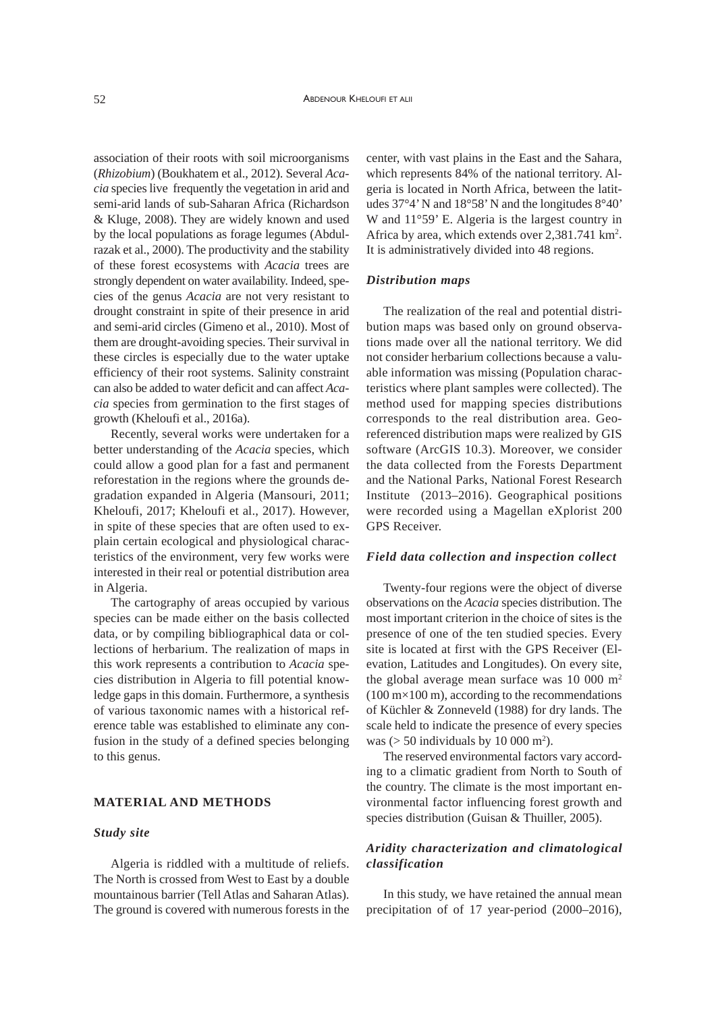association of their roots with soil microorganisms (*Rhizobium*) (Boukhatem et al., 2012). Several *Acacia* species live frequently the vegetation in arid and semi-arid lands of sub-Saharan Africa (Richardson & Kluge, 2008). They are widely known and used by the local populations as forage legumes (Abdulrazak et al., 2000). The productivity and the stability of these forest ecosystems with *Acacia* trees are strongly dependent on water availability. Indeed, species of the genus *Acacia* are not very resistant to drought constraint in spite of their presence in arid and semi-arid circles (Gimeno et al., 2010). Most of them are drought-avoiding species. Their survival in these circles is especially due to the water uptake efficiency of their root systems. Salinity constraint can also be added to water deficit and can affect *Acacia* species from germination to the first stages of growth (Kheloufi et al., 2016a).

Recently, several works were undertaken for a better understanding of the *Acacia* species, which could allow a good plan for a fast and permanent reforestation in the regions where the grounds degradation expanded in Algeria (Mansouri, 2011; Kheloufi, 2017; Kheloufi et al., 2017). However, in spite of these species that are often used to explain certain ecological and physiological characteristics of the environment, very few works were interested in their real or potential distribution area in Algeria.

The cartography of areas occupied by various species can be made either on the basis collected data, or by compiling bibliographical data or collections of herbarium. The realization of maps in this work represents a contribution to *Acacia* species distribution in Algeria to fill potential knowledge gaps in this domain. Furthermore, a synthesis of various taxonomic names with a historical reference table was established to eliminate any confusion in the study of a defined species belonging to this genus.

# **MATERIAL AND METHODS**

# *Study site*

Algeria is riddled with a multitude of reliefs. The North is crossed from West to East by a double mountainous barrier (Tell Atlas and Saharan Atlas). The ground is covered with numerous forests in the center, with vast plains in the East and the Sahara, which represents 84% of the national territory. Algeria is located in North Africa, between the latitudes 37°4' N and 18°58' N and the longitudes 8°40' W and 11°59' E. Algeria is the largest country in Africa by area, which extends over 2,381.741 km<sup>2</sup>. It is administratively divided into 48 regions.

## *Distribution maps*

The realization of the real and potential distribution maps was based only on ground observations made over all the national territory. We did not consider herbarium collections because a valuable information was missing (Population characteristics where plant samples were collected). The method used for mapping species distributions corresponds to the real distribution area. Georeferenced distribution maps were realized by GIS software (ArcGIS 10.3). Moreover, we consider the data collected from the Forests Department and the National Parks, National Forest Research Institute (2013–2016). Geographical positions were recorded using a Magellan eXplorist 200 GPS Receiver.

## *Field data collection and inspection collect*

Twenty-four regions were the object of diverse observations on the *Acacia* species distribution. The most important criterion in the choice of sites is the presence of one of the ten studied species. Every site is located at first with the GPS Receiver (Elevation, Latitudes and Longitudes). On every site, the global average mean surface was 10 000 m<sup>2</sup>  $(100 \text{ m} \times 100 \text{ m})$ , according to the recommendations of Küchler & Zonneveld (1988) for dry lands. The scale held to indicate the presence of every species was  $(> 50$  individuals by 10 000 m<sup>2</sup>).

The reserved environmental factors vary according to a climatic gradient from North to South of the country. The climate is the most important environmental factor influencing forest growth and species distribution (Guisan & Thuiller, 2005).

# *Aridity characterization and climatological classification*

In this study, we have retained the annual mean precipitation of of 17 year-period (2000–2016),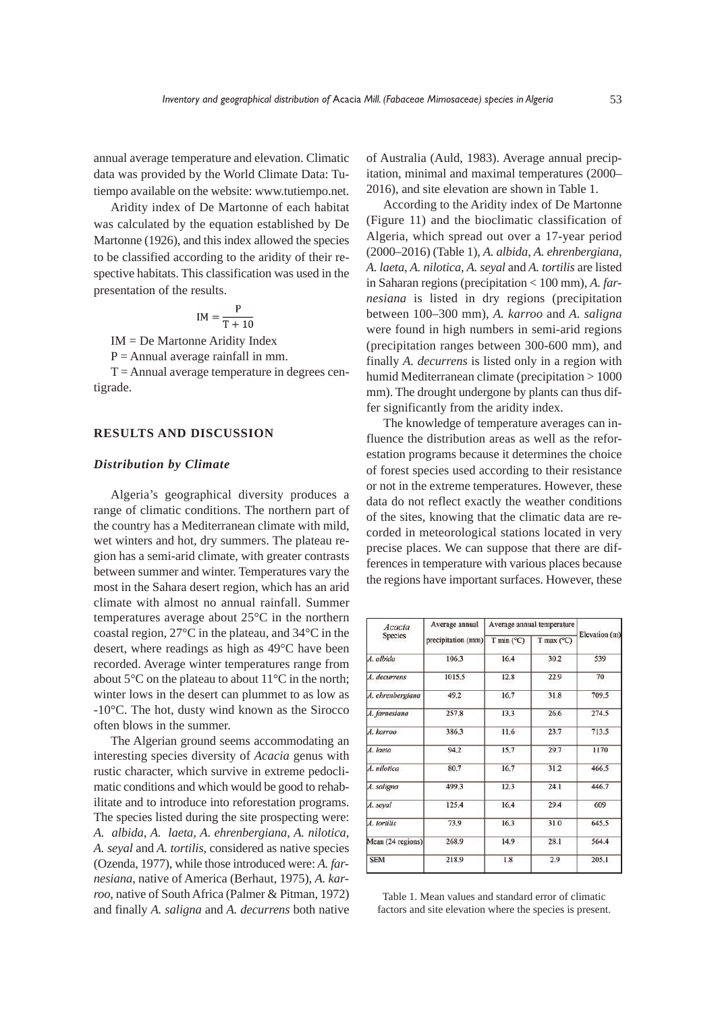annual average temperature and elevation. Climatic data was provided by the World Climate Data: Tutiempo available on the website: www.tutiempo.net.

Aridity index of De Martonne of each habitat was calculated by the equation established by De Martonne (1926), and this index allowed the species to be classified according to the aridity of their respective habitats. This classification was used in the presentation of the results.

$$
IM = \frac{P}{T + 10}
$$

IM = De Martonne Aridity Index

 $P =$  Annual average rainfall in mm.

 $T =$ Annual average temperature in degrees centigrade.

# **RESULTS AND DISCUSSION**

#### *Distribution by Climate*

Algeria's geographical diversity produces a range of climatic conditions. The northern part of the country has a Mediterranean climate with mild, wet winters and hot, dry summers. The plateau region has a semi-arid climate, with greater contrasts between summer and winter. Temperatures vary the most in the Sahara desert region, which has an arid climate with almost no annual rainfall. Summer temperatures average about 25°C in the northern coastal region, 27°C in the plateau, and 34°C in the desert, where readings as high as 49°C have been recorded. Average winter temperatures range from about 5°C on the plateau to about 11°C in the north; winter lows in the desert can plummet to as low as -10°C. The hot, dusty wind known as the Sirocco often blows in the summer.

The Algerian ground seems accommodating an interesting species diversity of *Acacia* genus with rustic character, which survive in extreme pedoclimatic conditions and which would be good to rehabilitate and to introduce into reforestation programs. The species listed during the site prospecting were: *A. albida*, *A. laeta*, *A. ehrenbergiana*, *A. nilotica*, *A. seyal* and *A. tortilis*, considered as native species (Ozenda, 1977), while those introduced were: *A. farnesiana*, native of America (Berhaut, 1975), *A. karroo*, native of South Africa (Palmer & Pitman, 1972) and finally *A. saligna* and *A. decurrens* both native

of Australia (Auld, 1983). Average annual precipitation, minimal and maximal temperatures (2000– 2016), and site elevation are shown in Table 1.

According to the Aridity index of De Martonne (Figure 11) and the bioclimatic classification of Algeria, which spread out over a 17-year period (2000–2016) (Table 1), *A. albida*, *A. ehrenbergiana*, *A. laeta*, *A. nilotica*, *A. seyal* and *A. tortilis* are listed in Saharan regions (precipitation < 100 mm), *A. farnesiana* is listed in dry regions (precipitation between 100–300 mm), *A. karroo* and *A. saligna* were found in high numbers in semi-arid regions (precipitation ranges between 300-600 mm), and finally *A. decurrens* is listed only in a region with humid Mediterranean climate (precipitation > 1000 mm). The drought undergone by plants can thus differ significantly from the aridity index.

The knowledge of temperature averages can influence the distribution areas as well as the reforestation programs because it determines the choice of forest species used according to their resistance or not in the extreme temperatures. However, these data do not reflect exactly the weather conditions of the sites, knowing that the climatic data are recorded in meteorological stations located in very precise places. We can suppose that there are differences in temperature with various places because the regions have important surfaces. However, these

| Acacia<br><b>Species</b> | Average annual<br>precipitation (mm) | Average annual temperature |                     |               |
|--------------------------|--------------------------------------|----------------------------|---------------------|---------------|
|                          |                                      | $T$ min ( $^{\circ}$ C)    | T max $(^{\circ}C)$ | Elevation (m) |
| A. albida                | 106.3                                | 16.4                       | 30.2                | 539           |
| A. decurrens             | 1015.5                               | 12.8                       | 22.9                | 70            |
| A. ehrenbergiana         | 49.2                                 | 16.7                       | 31.8                | 709.5         |
| A. farnesiana            | 257.8                                | 13.3                       | 26.6                | 274.5         |
| A. karroo                | 386.3                                | 11.6                       | 23.7                | 713.5         |
| A. laeta                 | 94.2                                 | 15.7                       | 29.7                | 1170          |
| A. nilotica              | 80.7                                 | 16.7                       | 31.2                | 466.5         |
| A. saligna               | 499.3                                | 12.3                       | 24.1                | 446.7         |
| A. seyal                 | 125.4                                | 16.4                       | 29.4                | 609           |
| A. tortilis              | 73.9                                 | 16.3                       | 31.0                | 645.5         |
| Mean (24 regions)        | 268.9                                | 14.9                       | 28.1                | 564.4         |
| <b>SEM</b>               | 218.9                                | 1.8                        | 2.9                 | 205.1         |

Table 1. Mean values and standard error of climatic factors and site elevation where the species is present.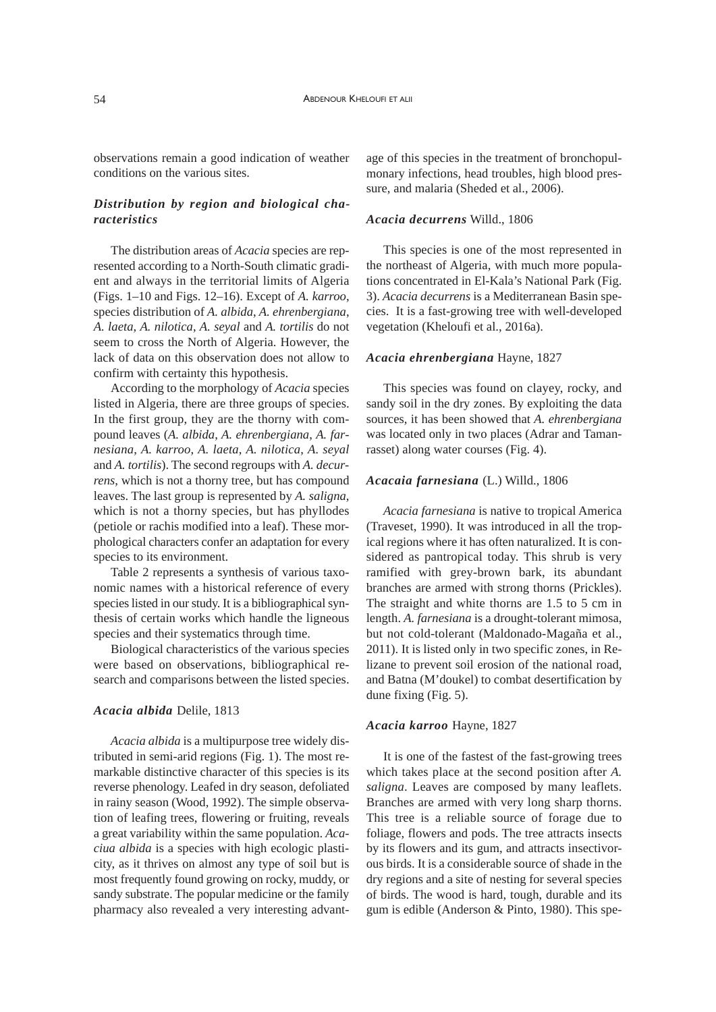observations remain a good indication of weather conditions on the various sites.

# *Distribution by region and biological characteristics*

The distribution areas of *Acacia* species are represented according to a North-South climatic gradient and always in the territorial limits of Algeria (Figs. 1–10 and Figs. 12–16). Except of *A. karroo*, species distribution of *A. albida*, *A. ehrenbergiana*, *A. laeta*, *A. nilotica*, *A. seyal* and *A. tortilis* do not seem to cross the North of Algeria. However, the lack of data on this observation does not allow to confirm with certainty this hypothesis.

According to the morphology of *Acacia* species listed in Algeria, there are three groups of species. In the first group, they are the thorny with compound leaves (*A. albida*, *A. ehrenbergiana*, *A. farnesiana*, *A. karroo*, *A. laeta*, *A. nilotica*, *A. seyal* and *A. tortilis*). The second regroups with *A. decurrens*, which is not a thorny tree, but has compound leaves. The last group is represented by *A. saligna*, which is not a thorny species, but has phyllodes (petiole or rachis modified into a leaf). These morphological characters confer an adaptation for every species to its environment.

Table 2 represents a synthesis of various taxonomic names with a historical reference of every species listed in our study. It is a bibliographical synthesis of certain works which handle the ligneous species and their systematics through time.

Biological characteristics of the various species were based on observations, bibliographical research and comparisons between the listed species.

## *Acacia albida* Delile, 1813

*Acacia albida* is a multipurpose tree widely distributed in semi-arid regions (Fig. 1). The most remarkable distinctive character of this species is its reverse phenology. Leafed in dry season, defoliated in rainy season (Wood, 1992). The simple observation of leafing trees, flowering or fruiting, reveals a great variability within the same population. *Acaciua albida* is a species with high ecologic plasticity, as it thrives on almost any type of soil but is most frequently found growing on rocky, muddy, or sandy substrate. The popular medicine or the family pharmacy also revealed a very interesting advant-

age of this species in the treatment of bronchopulmonary infections, head troubles, high blood pressure, and malaria (Sheded et al., 2006).

## *Acacia decurrens* Willd., 1806

This species is one of the most represented in the northeast of Algeria, with much more populations concentrated in El-Kala's National Park (Fig. 3). *Acacia decurrens* is a Mediterranean Basin species. It is a fast-growing tree with well-developed vegetation (Kheloufi et al., 2016a).

#### *Acacia ehrenbergiana* Hayne, 1827

This species was found on clayey, rocky, and sandy soil in the dry zones. By exploiting the data sources, it has been showed that *A. ehrenbergiana* was located only in two places (Adrar and Tamanrasset) along water courses (Fig. 4).

#### *Acacaia farnesiana* (L.) Willd., 1806

*Acacia farnesiana* is native to tropical America (Traveset, 1990). It was introduced in all the tropical regions where it has often naturalized. It is considered as pantropical today. This shrub is very ramified with grey-brown bark, its abundant branches are armed with strong thorns (Prickles). The straight and white thorns are 1.5 to 5 cm in length. *A. farnesiana* is a drought-tolerant mimosa, but not cold-tolerant (Maldonado-Magaña et al., 2011). It is listed only in two specific zones, in Relizane to prevent soil erosion of the national road, and Batna (M'doukel) to combat desertification by dune fixing (Fig. 5).

#### *Acacia karroo* Hayne, 1827

It is one of the fastest of the fast-growing trees which takes place at the second position after *A. saligna*. Leaves are composed by many leaflets. Branches are armed with very long sharp thorns. This tree is a reliable source of forage due to foliage, flowers and pods. The tree attracts insects by its flowers and its gum, and attracts insectivorous birds. It is a considerable source of shade in the dry regions and a site of nesting for several species of birds. The wood is hard, tough, durable and its gum is edible (Anderson & Pinto, 1980). This spe-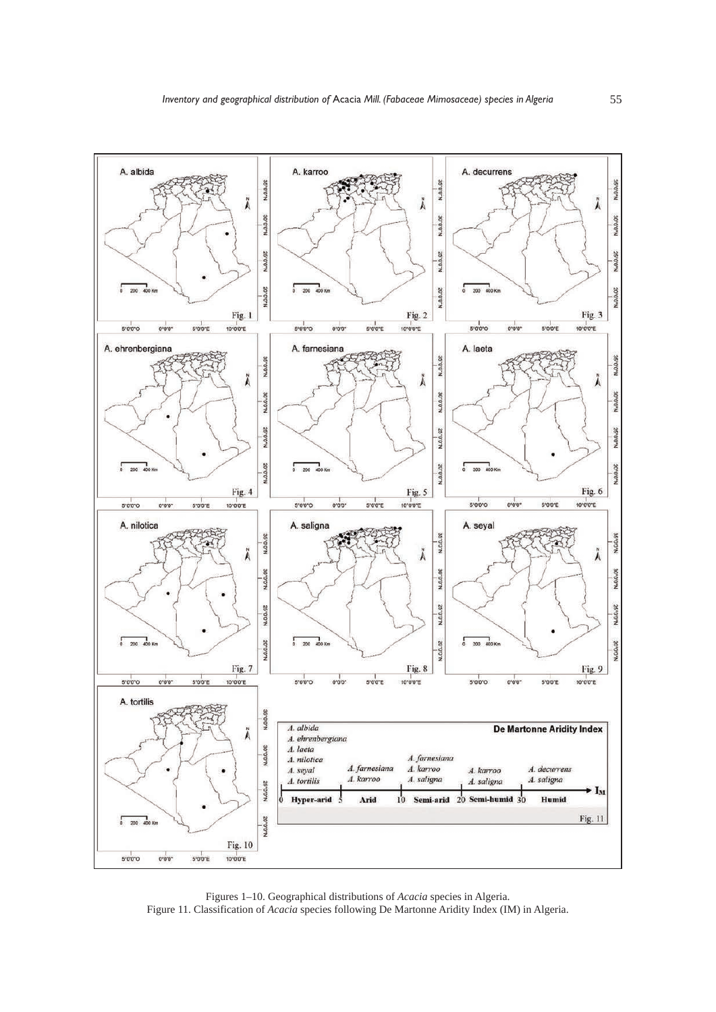

Figures 1–10. Geographical distributions of *Acacia* species in Algeria. Figure 11. Classification of *Acacia* species following De Martonne Aridity Index (IM) in Algeria.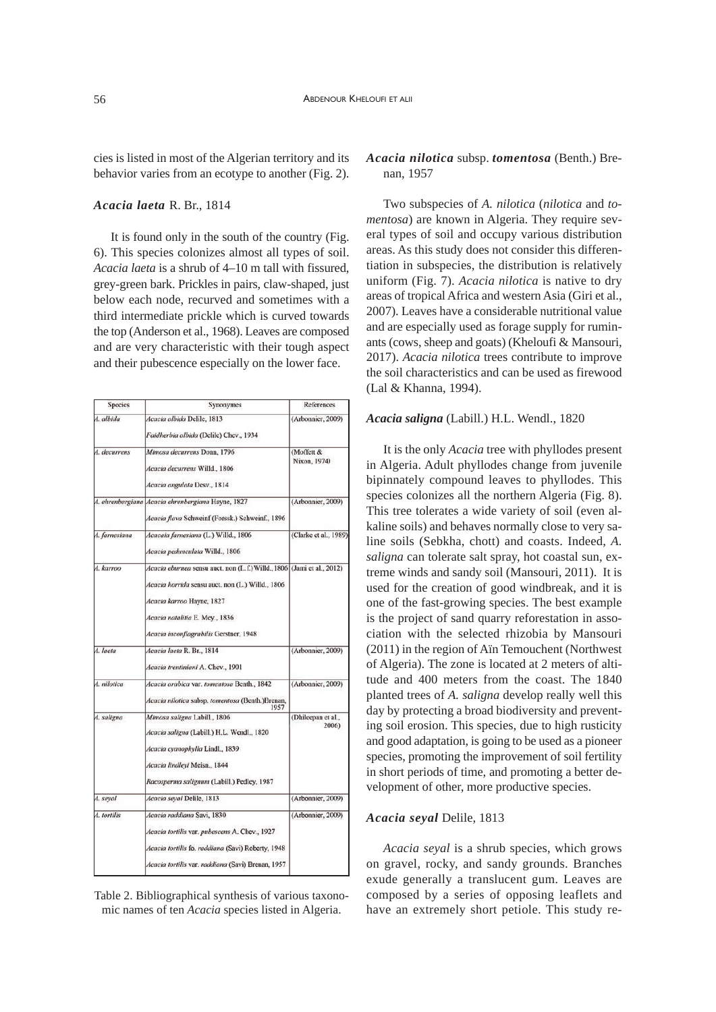cies is listed in most of the Algerian territory and its behavior varies from an ecotype to another (Fig. 2).

# *Acacia laeta* R. Br., 1814

It is found only in the south of the country (Fig. 6). This species colonizes almost all types of soil. *Acacia laeta* is a shrub of 4–10 m tall with fissured, grey-green bark. Prickles in pairs, claw-shaped, just below each node, recurved and sometimes with a third intermediate prickle which is curved towards the top (Anderson et al., 1968). Leaves are composed and are very characteristic with their tough aspect and their pubescence especially on the lower face.

| Species       | Synonymes                                                                                                                                                                                                                            | References                  |
|---------------|--------------------------------------------------------------------------------------------------------------------------------------------------------------------------------------------------------------------------------------|-----------------------------|
| A. albida     | Acacia albida Delile, 1813<br>Faidherbia albida (Delile) Chev., 1934                                                                                                                                                                 | (Arbonnier, 2009)           |
| A. decurrens  | Mimosa decurrens Donn, 1796<br>Acacia decurrens Willd., 1806<br>Acacia angulata Desv., 1814                                                                                                                                          | (Moffett &<br>Nixon, 1974)  |
|               | 4. ehrenbergiana Acacia ehrenbergiana Hayne, 1827<br>Acacia flava Schweinf (Forssk.) Schweinf., 1896                                                                                                                                 | (Arbonnier, 2009)           |
| A. farnesiana | Acacaia farnesiana (L.) Willd., 1806<br>Acacia pedunculata Willd., 1806                                                                                                                                                              | (Clarke et al., 1989)       |
| A. karroo     | Acacia eburnea sensu auct. non (L. f.) Willd., 1806 (Jami et al., 2012)<br>Acacia horrida sensu auct. non (L.) Willd., 1806<br>Acacia karroo Hayne, 1827<br>Acacia natalitia E. Mey., 1836<br>Acacia inconflagrabilis Gerstner, 1948 |                             |
| A. laeta      | Acacia laeta R. Br., 1814<br>Acacia trentiniani A. Chev., 1901                                                                                                                                                                       | (Arbonnier, 2009)           |
| A. nilotica   | Acacia arabica var. tomentosa Benth., 1842<br>Acacia nilotica subsp. tomentosa (Benth.)Brenan,<br>1957                                                                                                                               | (Arbonnier, 2009)           |
| A. saligna    | Mimosa saligna Labill., 1806<br>Acacia saligna (Labill.) H.L. Wendl., 1820<br>Acacia cyanophylla Lindl., 1839<br>Acacia lindleyi Meisn., 1844<br>Racosperma salignum (Labill.) Pedley, 1987                                          | (Dhileepan et al.,<br>2006) |
| A. seval      | Acacia seyal Delile, 1813                                                                                                                                                                                                            | (Arbonnier, 2009)           |
| A. tortilis   | Acacia raddiana Savi, 1830<br>Acacia tortilis var. pubescens A. Chev., 1927<br>Acacia tortilis fo. raddiana (Savi) Roberty, 1948<br>Acacia tortilis var. raddiana (Savi) Brenan, 1957                                                | (Arbonnier, 2009)           |

Table 2. Bibliographical synthesis of various taxonomic names of ten *Acacia* species listed in Algeria.

## *Acacia nilotica* subsp. *tomentosa* (Benth.) Brenan, 1957

Two subspecies of *A. nilotica* (*nilotica* and *tomentosa*) are known in Algeria. They require several types of soil and occupy various distribution areas. As this study does not consider this differentiation in subspecies, the distribution is relatively uniform (Fig. 7). *Acacia nilotica* is native to dry areas of tropical Africa and western Asia (Giri et al., 2007). Leaves have a considerable nutritional value and are especially used as forage supply for ruminants (cows, sheep and goats) (Kheloufi & Mansouri, 2017). *Acacia nilotica* trees contribute to improve the soil characteristics and can be used as firewood (Lal & Khanna, 1994).

## *Acacia saligna* (Labill.) H.L. Wendl., 1820

It is the only *Acacia* tree with phyllodes present in Algeria. Adult phyllodes change from juvenile bipinnately compound leaves to phyllodes. This species colonizes all the northern Algeria (Fig. 8). This tree tolerates a wide variety of soil (even alkaline soils) and behaves normally close to very saline soils (Sebkha, chott) and coasts. Indeed, *A. saligna* can tolerate salt spray, hot coastal sun, extreme winds and sandy soil (Mansouri, 2011). It is used for the creation of good windbreak, and it is one of the fast-growing species. The best example is the project of sand quarry reforestation in association with the selected rhizobia by Mansouri (2011) in the region of Aïn Temouchent (Northwest of Algeria). The zone is located at 2 meters of altitude and 400 meters from the coast. The 1840 planted trees of *A. saligna* develop really well this day by protecting a broad biodiversity and preventing soil erosion. This species, due to high rusticity and good adaptation, is going to be used as a pioneer species, promoting the improvement of soil fertility in short periods of time, and promoting a better development of other, more productive species.

#### *Acacia seyal* Delile, 1813

*Acacia seyal* is a shrub species, which grows on gravel, rocky, and sandy grounds. Branches exude generally a translucent gum. Leaves are composed by a series of opposing leaflets and have an extremely short petiole. This study re-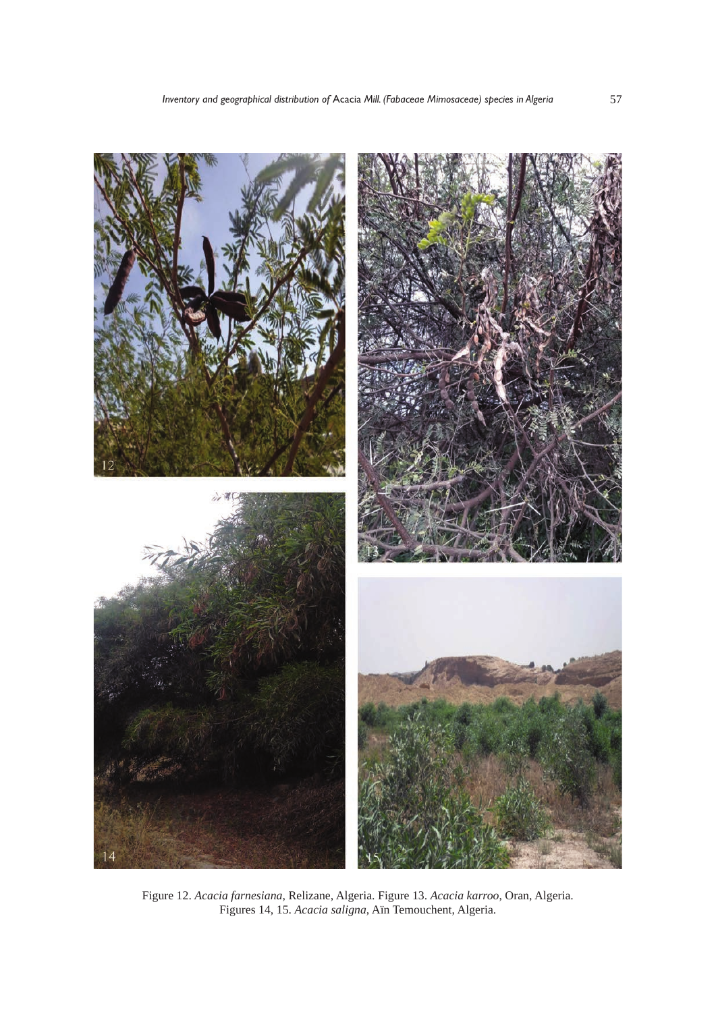

Figure 12. *Acacia farnesiana*, Relizane, Algeria. Figure 13. *Acacia karroo*, Oran, Algeria. Figures 14, 15. *Acacia saligna*, Aïn Temouchent, Algeria.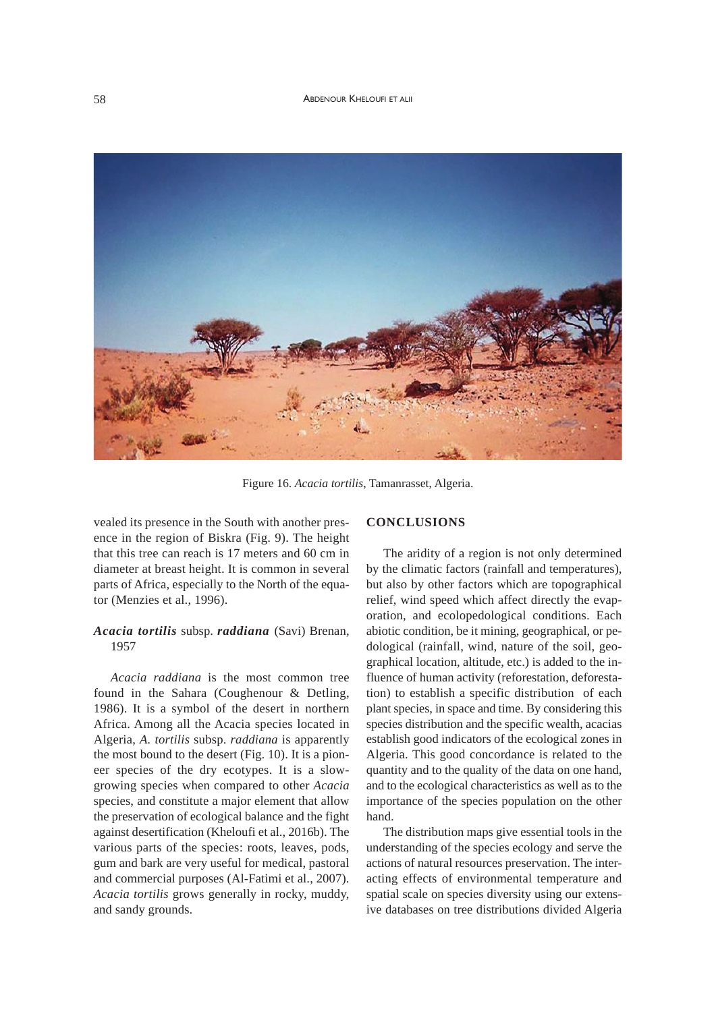#### 58 ABDENOUR KHELOUFI ET ALII



Figure 16. *Acacia tortilis*, Tamanrasset, Algeria.

vealed its presence in the South with another presence in the region of Biskra (Fig. 9). The height that this tree can reach is 17 meters and 60 cm in diameter at breast height. It is common in several parts of Africa, especially to the North of the equator (Menzies et al., 1996).

# *Acacia tortilis* subsp. *raddiana* (Savi) Brenan, 1957

*Acacia raddiana* is the most common tree found in the Sahara (Coughenour & Detling, 1986). It is a symbol of the desert in northern Africa. Among all the Acacia species located in Algeria, *A. tortilis* subsp. *raddiana* is apparently the most bound to the desert (Fig. 10). It is a pioneer species of the dry ecotypes. It is a slowgrowing species when compared to other *Acacia* species, and constitute a major element that allow the preservation of ecological balance and the fight against desertification (Kheloufi et al., 2016b). The various parts of the species: roots, leaves, pods, gum and bark are very useful for medical, pastoral and commercial purposes (Al-Fatimi et al., 2007). *Acacia tortilis* grows generally in rocky, muddy, and sandy grounds.

# **CONCLUSIONS**

The aridity of a region is not only determined by the climatic factors (rainfall and temperatures), but also by other factors which are topographical relief, wind speed which affect directly the evaporation, and ecolopedological conditions. Each abiotic condition, be it mining, geographical, or pedological (rainfall, wind, nature of the soil, geographical location, altitude, etc.) is added to the influence of human activity (reforestation, deforestation) to establish a specific distribution of each plant species, in space and time. By considering this species distribution and the specific wealth, acacias establish good indicators of the ecological zones in Algeria. This good concordance is related to the quantity and to the quality of the data on one hand, and to the ecological characteristics as well as to the importance of the species population on the other hand.

The distribution maps give essential tools in the understanding of the species ecology and serve the actions of natural resources preservation. The interacting effects of environmental temperature and spatial scale on species diversity using our extensive databases on tree distributions divided Algeria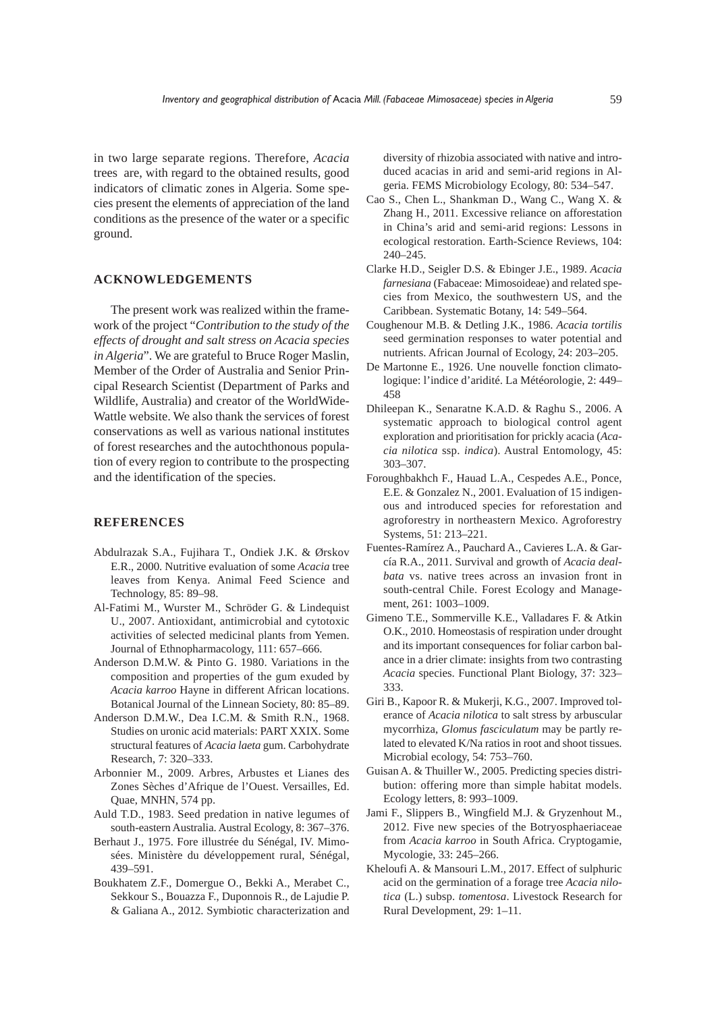in two large separate regions. Therefore, *Acacia* trees are, with regard to the obtained results, good indicators of climatic zones in Algeria. Some species present the elements of appreciation of the land conditions as the presence of the water or a specific ground.

#### **ACKNOWLEDGEMENTS**

The present work was realized within the framework of the project "*Contribution to the study of the effects of drought and salt stress on Acacia species in Algeria*". We are grateful to Bruce Roger Maslin, Member of the Order of Australia and Senior Principal Research Scientist (Department of Parks and Wildlife, Australia) and creator of the WorldWide-Wattle website. We also thank the services of forest conservations as well as various national institutes of forest researches and the autochthonous population of every region to contribute to the prospecting and the identification of the species.

## **REFERENCES**

- Abdulrazak S.A., Fujihara T., Ondiek J.K. & Ørskov E.R., 2000. Nutritive evaluation of some *Acacia* tree leaves from Kenya. Animal Feed Science and Technology, 85: 89–98.
- Al-Fatimi M., Wurster M., Schröder G. & Lindequist U., 2007. Antioxidant, antimicrobial and cytotoxic activities of selected medicinal plants from Yemen. Journal of Ethnopharmacology, 111: 657–666.
- Anderson D.M.W. & Pinto G. 1980. Variations in the composition and properties of the gum exuded by *Acacia karroo* Hayne in different African locations. Botanical Journal of the Linnean Society, 80: 85–89.
- Anderson D.M.W., Dea I.C.M. & Smith R.N., 1968. Studies on uronic acid materials: PART XXIX. Some structural features of *Acacia laeta* gum. Carbohydrate Research, 7: 320–333.
- Arbonnier M., 2009. Arbres, Arbustes et Lianes des Zones Sèches d'Afrique de l'Ouest. Versailles, Ed. Quae, MNHN, 574 pp.
- Auld T.D., 1983. Seed predation in native legumes of south-eastern Australia. Austral Ecology, 8: 367–376.
- Berhaut J., 1975. Fore illustrée du Sénégal, IV. Mimosées. Ministère du développement rural, Sénégal, 439–591.
- Boukhatem Z.F., Domergue O., Bekki A., Merabet C., Sekkour S., Bouazza F., Duponnois R., de Lajudie P. & Galiana A., 2012. Symbiotic characterization and

diversity of rhizobia associated with native and introduced acacias in arid and semi-arid regions in Algeria. FEMS Microbiology Ecology, 80: 534–547.

- Cao S., Chen L., Shankman D., Wang C., Wang X. & Zhang H., 2011. Excessive reliance on afforestation in China's arid and semi-arid regions: Lessons in ecological restoration. Earth-Science Reviews, 104: 240–245.
- Clarke H.D., Seigler D.S. & Ebinger J.E., 1989. *Acacia farnesiana* (Fabaceae: Mimosoideae) and related species from Mexico, the southwestern US, and the Caribbean. Systematic Botany, 14: 549–564.
- Coughenour M.B. & Detling J.K., 1986. *Acacia tortilis* seed germination responses to water potential and nutrients. African Journal of Ecology, 24: 203–205.
- De Martonne E., 1926. Une nouvelle fonction climatologique: l'indice d'aridité. La Météorologie, 2: 449– 458
- Dhileepan K., Senaratne K.A.D. & Raghu S., 2006. A systematic approach to biological control agent exploration and prioritisation for prickly acacia (*Acacia nilotica* ssp. *indica*). Austral Entomology, 45: 303–307.
- Foroughbakhch F., Hauad L.A., Cespedes A.E., Ponce, E.E. & Gonzalez N., 2001. Evaluation of 15 indigenous and introduced species for reforestation and agroforestry in northeastern Mexico. Agroforestry Systems, 51: 213–221.
- Fuentes-Ramírez A., Pauchard A., Cavieres L.A. & García R.A., 2011. Survival and growth of *Acacia dealbata* vs. native trees across an invasion front in south-central Chile. Forest Ecology and Management, 261: 1003–1009.
- Gimeno T.E., Sommerville K.E., Valladares F. & Atkin O.K., 2010. Homeostasis of respiration under drought and its important consequences for foliar carbon balance in a drier climate: insights from two contrasting *Acacia* species. Functional Plant Biology, 37: 323– 333.
- Giri B., Kapoor R. & Mukerji, K.G., 2007. Improved tolerance of *Acacia nilotica* to salt stress by arbuscular mycorrhiza, *Glomus fasciculatum* may be partly related to elevated K/Na ratios in root and shoot tissues. Microbial ecology, 54: 753–760.
- Guisan A. & Thuiller W., 2005. Predicting species distribution: offering more than simple habitat models. Ecology letters, 8: 993–1009.
- Jami F., Slippers B., Wingfield M.J. & Gryzenhout M., 2012. Five new species of the Botryosphaeriaceae from *Acacia karroo* in South Africa. Cryptogamie, Mycologie, 33: 245–266.
- Kheloufi A. & Mansouri L.M., 2017. Effect of sulphuric acid on the germination of a forage tree *Acacia nilotica* (L.) subsp. *tomentosa*. Livestock Research for Rural Development, 29: 1–11.